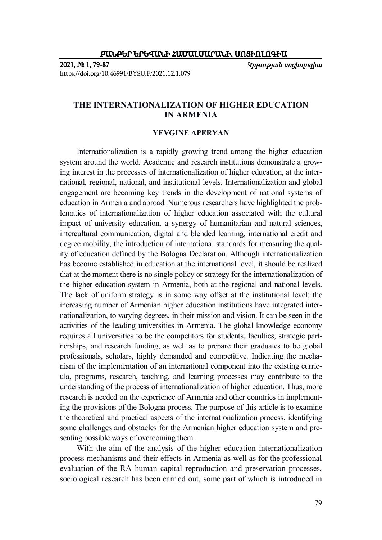**2021, № 1, 79-87** *Կրթության սոցիոլոգիա* https://doi.org/10.46991/BYSU:F/2021.12.1.079

## **THE INTERNATIONALIZATION OF HIGHER EDUCATION IN ARMENIA**

## **YEVGINE APERYAN**

Internationalization is a rapidly growing trend among the higher education system around the world. Academic and research institutions demonstrate a growing interest in the processes of internationalization of higher education, at the international, regional, national, and institutional levels. Internationalization and global engagement are becoming key trends in the development of national systems of education in Armenia and abroad. Numerous researchers have highlighted the problematics of internationalization of higher education associated with the cultural impact of university education, a synergy of humanitarian and natural sciences, intercultural communication, digital and blended learning, international credit and degree mobility, the introduction of international standards for measuring the quality of education defined by the Bologna Declaration. Although internationalization has become established in education at the international level, it should be realized that at the moment there is no single policy or strategy for the internationalization of the higher education system in Armenia, both at the regional and national levels. The lack of uniform strategy is in some way offset at the institutional level: the increasing number of Armenian higher education institutions have integrated internationalization, to varying degrees, in their mission and vision. It can be seen in the activities of the leading universities in Armenia. The global knowledge economy requires all universities to be the competitors for students, faculties, strategic partnerships, and research funding, as well as to prepare their graduates to be global professionals, scholars, highly demanded and competitive. Indicating the mechanism of the implementation of an international component into the existing curricula, programs, research, teaching, and learning processes may contribute to the understanding of the process of internationalization of higher education. Thus, more research is needed on the experience of Armenia and other countries in implementing the provisions of the Bologna process. The purpose of this article is to examine the theoretical and practical aspects of the internationalization process, identifying some challenges and obstacles for the Armenian higher education system and presenting possible ways of overcoming them.

With the aim of the analysis of the higher education internationalization process mechanisms and their effects in Armenia as well as for the professional evaluation of the RA human capital reproduction and preservation processes, sociological research has been carried out, some part of which is introduced in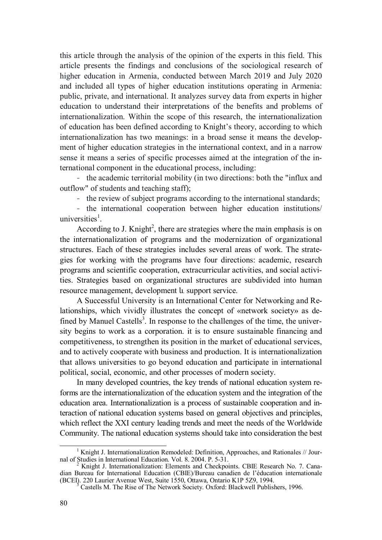this article through the analysis of the opinion of the experts in this field. This article presents the findings and conclusions of the sociological research of higher education in Armenia, conducted between March 2019 and July 2020 and included all types of higher education institutions operating in Armenia: public, private, and international. It analyzes survey data from experts in higher education to understand their interpretations of the benefits and problems of internationalization. Within the scope of this research, the internationalization of education has been defined according to Knight's theory, according to which internationalization has two meanings: in a broad sense it means the development of higher education strategies in the international context, and in a narrow sense it means a series of specific processes aimed at the integration of the international component in the educational process, including:

- the academic territorial mobility (in two directions: both the "influx and outflow" of students and teaching staff);

- the review of subject programs according to the international standards;

- the international cooperation between higher education institutions/ universities<sup>1</sup>.

According to J. Knight<sup>2</sup>, there are strategies where the main emphasis is on the internationalization of programs and the modernization of organizational structures. Each of these strategies includes several areas of work. The strategies for working with the programs have four directions: academic, research programs and scientific cooperation, extracurricular activities, and social activities. Strategies based on organizational structures are subdivided into human resource management, development և support service.

A Successful University is an International Center for Networking and Relationships, which vividly illustrates the concept of «network society» as defined by Manuel Castells<sup>3</sup>. In response to the challenges of the time, the university begins to work as a corporation. it is to ensure sustainable financing and competitiveness, to strengthen its position in the market of educational services, and to actively cooperate with business and production. It is internationalization that allows universities to go beyond education and participate in international political, social, economic, and other processes of modern society.

In many developed countries, the key trends of national education system reforms are the internationalization of the education system and the integration of the education area. Internationalization is a process of sustainable cooperation and interaction of national education systems based on general objectives and principles, which reflect the XXI century leading trends and meet the needs of the Worldwide Community. The national education systems should take into consideration the best

<sup>-</sup><sup>1</sup> Knight J. Internationalization Remodeled: Definition, Approaches, and Rationales  $//$  Journal of Studies in International Education. Vol. 8. 2004. P. 5-31.

<sup>2</sup> Knight J. Internationalization: Elements and Checkpoints. CBIE Research No. 7. Canadian Bureau for International Education (CBIE)/Bureau canadien de l'éducation internationale (BCEI). 220 Laurier Avenue West, Suite 1550, Ottawa, Ontario K1P 5Z9, 1994. 3

Castells M. The Rise of The Network Society. Oxford: Blackwell Publishers, 1996.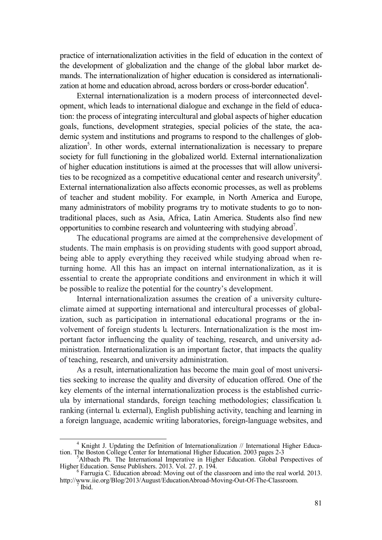practice of internationalization activities in the field of education in the context of the development of globalization and the change of the global labor market demands. The internationalization of higher education is considered as internationalization at home and education abroad, across borders or cross-border education<sup>4</sup>.

External internationalization is a modern process of interconnected development, which leads to international dialogue and exchange in the field of education: the process of integrating intercultural and global aspects of higher education goals, functions, development strategies, special policies of the state, the academic system and institutions and programs to respond to the challenges of globalization<sup>5</sup>. In other words, external internationalization is necessary to prepare society for full functioning in the globalized world. External internationalization of higher education institutions is aimed at the processes that will allow universities to be recognized as a competitive educational center and research university<sup>6</sup>. External internationalization also affects economic processes, as well as problems of teacher and student mobility. For example, in North America and Europe, many administrators of mobility programs try to motivate students to go to nontraditional places, such as Asia, Africa, Latin America. Students also find new opportunities to combine research and volunteering with studying abroad<sup>7</sup>.

The educational programs are aimed at the comprehensive development of students. The main emphasis is on providing students with good support abroad, being able to apply everything they received while studying abroad when returning home. All this has an impact on internal internationalization, as it is essential to create the appropriate conditions and environment in which it will be possible to realize the potential for the country's development.

Internal internationalization assumes the creation of a university cultureclimate aimed at supporting international and intercultural processes of globalization, such as participation in international educational programs or the involvement of foreign students և lecturers. Internationalization is the most important factor influencing the quality of teaching, research, and university administration. Internationalization is an important factor, that impacts the quality of teaching, research, and university administration.

As a result, internationalization has become the main goal of most universities seeking to increase the quality and diversity of education offered. One of the key elements of the internal internationalization process is the established curricula by international standards, foreign teaching methodologies; classification և ranking (internal և external), English publishing activity, teaching and learning in a foreign language, academic writing laboratories, foreign-language websites, and

-

<sup>4</sup> Knight J. Updating the Definition of Internationalization // International Higher Education. The Boston College Center for International Higher Education. 2003 pages 2-3

<sup>&</sup>lt;sup>5</sup>Altbach Ph. The International Imperative in Higher Education. Global Perspectives of Higher Education. Sense Publishers. 2013. Vol. 27. p. 194.

Farrugia C. Education abroad: Moving out of the classroom and into the real world. 2013. http://www.iie.org/Blog/2013/August/EducationAbroad-Moving-Out-Of-The-Classroom. 7

Ibid.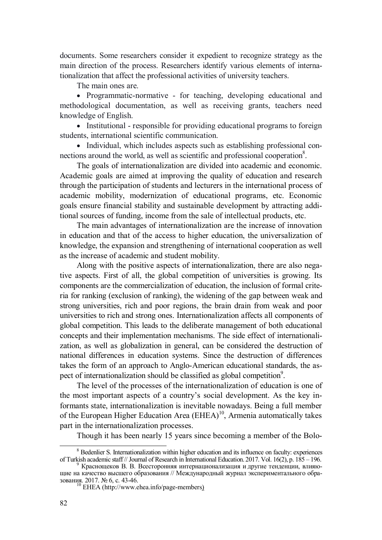documents. Some researchers consider it expedient to recognize strategy as the main direction of the process. Researchers identify various elements of internationalization that affect the professional activities of university teachers.

The main ones are.

 Programmatic-normative - for teaching, developing educational and methodological documentation, as well as receiving grants, teachers need knowledge of English.

• Institutional - responsible for providing educational programs to foreign students, international scientific communication.

• Individual, which includes aspects such as establishing professional connections around the world, as well as scientific and professional cooperation<sup>8</sup>.

The goals of internationalization are divided into academic and economic. Academic goals are aimed at improving the quality of education and research through the participation of students and lecturers in the international process of academic mobility, modernization of educational programs, etc. Economic goals ensure financial stability and sustainable development by attracting additional sources of funding, income from the sale of intellectual products, etc.

The main advantages of internationalization are the increase of innovation in education and that of the access to higher education, the universalization of knowledge, the expansion and strengthening of international cooperation as well as the increase of academic and student mobility.

Along with the positive aspects of internationalization, there are also negative aspects. First of all, the global competition of universities is growing. Its components are the commercialization of education, the inclusion of formal criteria for ranking (exclusion of ranking), the widening of the gap between weak and strong universities, rich and poor regions, the brain drain from weak and poor universities to rich and strong ones. Internationalization affects all components of global competition. This leads to the deliberate management of both educational concepts and their implementation mechanisms. The side effect of internationalization, as well as globalization in general, can be considered the destruction of national differences in education systems. Since the destruction of differences takes the form of an approach to Anglo-American educational standards, the aspect of internationalization should be classified as global competition<sup>9</sup>.

The level of the processes of the internationalization of education is one of the most important aspects of a country's social development. As the key informants state, internationalization is inevitable nowadays. Being a full member of the European Higher Education Area  $(EHEA)^{10}$ , Armenia automatically takes part in the internationalization processes.

Though it has been nearly 15 years since becoming a member of the Bolo-

-

<sup>&</sup>lt;sup>8</sup> Bedenlier S. Internationalization within higher education and its influence on faculty: experiences of Turkish academic staff // Journal of Research in International Education. 2017. Vol. 16(2), p. 185 – 196.

Краснощеков В. В. Всесторонняя интернационализация и другие тенденции, влияющие на качество высшего образования // Международный журнал экспериментального образования. 2017. № 6, с. 43-46.

 $^{10}$  EHEA (http://www.ehea.info/page-members)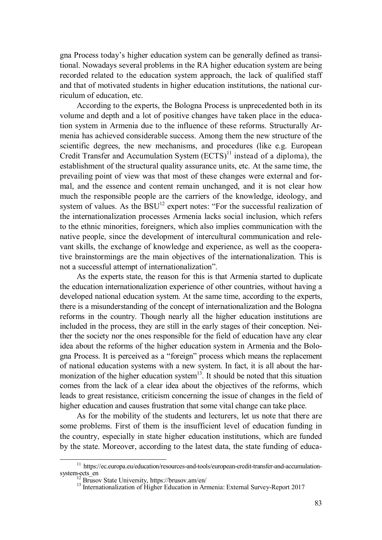gna Process today's higher education system can be generally defined as transitional. Nowadays several problems in the RA higher education system are being recorded related to the education system approach, the lack of qualified staff and that of motivated students in higher education institutions, the national curriculum of education, etc.

According to the experts, the Bologna Process is unprecedented both in its volume and depth and a lot of positive changes have taken place in the education system in Armenia due to the influence of these reforms. Structurally Armenia has achieved considerable success. Among them the new structure of the scientific degrees, the new mechanisms, and procedures (like e.g. European Credit Transfer and Accumulation System  $(ECTS)^{11}$  instead of a diploma), the establishment of the structural quality assurance units, etc. At the same time, the prevailing point of view was that most of these changes were external and formal, and the essence and content remain unchanged, and it is not clear how much the responsible people are the carriers of the knowledge, ideology, and system of values. As the  $\text{B}SU^{12}$  expert notes: "For the successful realization of the internationalization processes Armenia lacks social inclusion, which refers to the ethnic minorities, foreigners, which also implies communication with the native people, since the development of intercultural communication and relevant skills, the exchange of knowledge and experience, as well as the cooperative brainstormings are the main objectives of the internationalization. This is not a successful attempt of internationalization".

As the experts state, the reason for this is that Armenia started to duplicate the education internationalization experience of other countries, without having a developed national education system. At the same time, according to the experts, there is a misunderstanding of the concept of internationalization and the Bologna reforms in the country. Though nearly all the higher education institutions are included in the process, they are still in the early stages of their conception. Neither the society nor the ones responsible for the field of education have any clear idea about the reforms of the higher education system in Armenia and the Bologna Process. It is perceived as a "foreign" process which means the replacement of national education systems with a new system. In fact, it is all about the harmonization of the higher education system<sup>13</sup>. It should be noted that this situation comes from the lack of a clear idea about the objectives of the reforms, which leads to great resistance, criticism concerning the issue of changes in the field of higher education and causes frustration that some vital change can take place.

As for the mobility of the students and lecturers, let us note that there are some problems. First of them is the insufficient level of education funding in the country, especially in state higher education institutions, which are funded by the state. Moreover, according to the latest data, the state funding of educa-

-

 $11$  https://ec.europa.eu/education/resources-and-tools/european-credit-transfer-and-accumulationsystem-ects\_en<br>
<sup>12</sup> Brusov State University, https://brusov.am/en/

<sup>&</sup>lt;sup>13</sup> Internationalization of Higher Education in Armenia: External Survey-Report 2017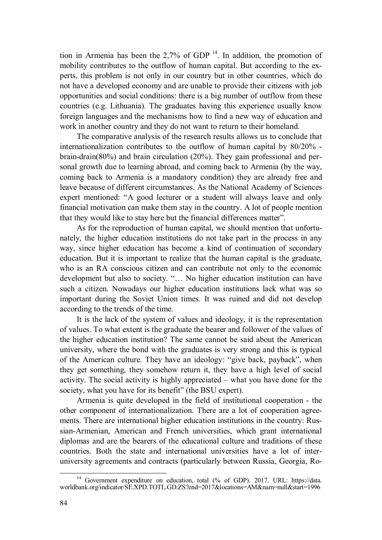tion in Armenia has been the 2,7% of GDP  $^{14}$ . In addition, the promotion of mobility contributes to the outflow of human capital. But according to the experts, this problem is not only in our country but in other countries, which do not have a developed economy and are unable to provide their citizens with job opportunities and social conditions: there is a big number of outflow from these countries (e.g. Lithuania). The graduates having this experience usually know foreign languages and the mechanisms how to find a new way of education and work in another country and they do not want to return to their homeland.

The comparative analysis of the research results allows us to conclude that internationalization contributes to the outflow of human capital by 80/20% brain-drain(80%) and brain circulation (20%). They gain professional and personal growth due to learning abroad, and coming back to Armenia (by the way, coming back to Armenia is a mandatory condition) they are already free and leave because of different circumstances. As the National Academy of Sciences expert mentioned: "A good lecturer or a student will always leave and only financial motivation can make them stay in the country. A lot of people mention that they would like to stay here but the financial differences matter".

As for the reproduction of human capital, we should mention that unfortunately, the higher education institutions do not take part in the process in any way, since higher education has become a kind of continuation of secondary education. But it is important to realize that the human capital is the graduate, who is an RA conscious citizen and can contribute not only to the economic development but also to society. "… No higher education institution can have such a citizen. Nowadays our higher education institutions lack what was so important during the Soviet Union times. It was ruined and did not develop according to the trends of the time.

It is the lack of the system of values and ideology, it is the representation of values. To what extent is the graduate the bearer and follower of the values of the higher education institution? The same cannot be said about the American university, where the bond with the graduates is very strong and this is typical of the American culture. They have an ideology: "give back, payback", when they get something, they somehow return it, they have a high level of social activity. The social activity is highly appreciated – what you have done for the society, what you have for its benefit" (the BSU expert).

Armenia is quite developed in the field of institutional cooperation - the other component of internationalization. There are a lot of cooperation agreements. There are international higher education institutions in the country: Russian-Armenian, American and French universities, which grant international diplomas and are the bearers of the educational culture and traditions of these countries. Both the state and international universities have a lot of interuniversity agreements and contracts (particularly between Russia, Georgia, Ro-

<sup>-</sup><sup>14</sup> Government expenditure on education, total (% of GDP). 2017. URL: https://data. worldbank.org/indicator/SE.XPD.TOTL.GD.ZS?end=2017&locations=AM&nam=null&start=1996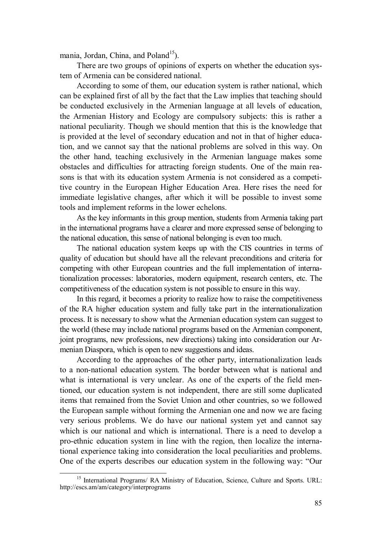mania, Jordan, China, and Poland<sup>15</sup>).

There are two groups of opinions of experts on whether the education system of Armenia can be considered national.

According to some of them, our education system is rather national, which can be explained first of all by the fact that the Law implies that teaching should be conducted exclusively in the Armenian language at all levels of education, the Armenian History and Ecology are compulsory subjects: this is rather a national peculiarity. Though we should mention that this is the knowledge that is provided at the level of secondary education and not in that of higher education, and we cannot say that the national problems are solved in this way. On the other hand, teaching exclusively in the Armenian language makes some obstacles and difficulties for attracting foreign students. One of the main reasons is that with its education system Armenia is not considered as a competitive country in the European Higher Education Area. Here rises the need for immediate legislative changes, after which it will be possible to invest some tools and implement reforms in the lower echelons.

As the key informants in this group mention, students from Armenia taking part in the international programs have a clearer and more expressed sense of belonging to the national education, this sense of national belonging is even too much.

The national education system keeps up with the CIS countries in terms of quality of education but should have all the relevant preconditions and criteria for competing with other European countries and the full implementation of internationalization processes: laboratories, modern equipment, research centers, etc. The competitiveness of the education system is not possible to ensure in this way.

In this regard, it becomes a priority to realize how to raise the competitiveness of the RA higher education system and fully take part in the internationalization process. It is necessary to show what the Armenian education system can suggest to the world (these may include national programs based on the Armenian component, joint programs, new professions, new directions) taking into consideration our Armenian Diaspora, which is open to new suggestions and ideas.

According to the approaches of the other party, internationalization leads to a non-national education system. The border between what is national and what is international is very unclear. As one of the experts of the field mentioned, our education system is not independent, there are still some duplicated items that remained from the Soviet Union and other countries, so we followed the European sample without forming the Armenian one and now we are facing very serious problems. We do have our national system yet and cannot say which is our national and which is international. There is a need to develop a pro-ethnic education system in line with the region, then localize the international experience taking into consideration the local peculiarities and problems. One of the experts describes our education system in the following way: "Our

<sup>-</sup><sup>15</sup> International Programs/ RA Ministry of Education, Science, Culture and Sports. URL: http://escs.am/am/category/interprograms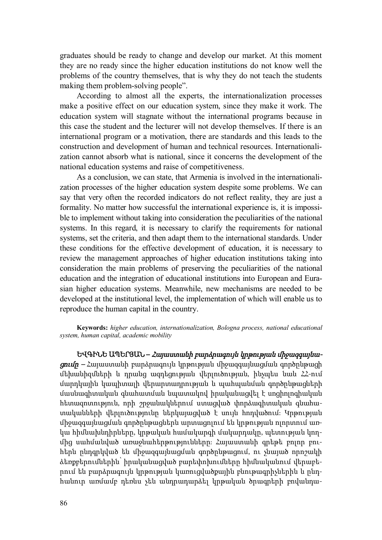graduates should be ready to change and develop our market. At this moment they are no ready since the higher education institutions do not know well the problems of the country themselves, that is why they do not teach the students making them problem-solving people".

According to almost all the experts, the internationalization processes make a positive effect on our education system, since they make it work. The education system will stagnate without the international programs because in this case the student and the lecturer will not develop themselves. If there is an international program or a motivation, there are standards and this leads to the construction and development of human and technical resources. Internationalization cannot absorb what is national, since it concerns the development of the national education systems and raise of competitiveness.

As a conclusion, we can state, that Armenia is involved in the internationalization processes of the higher education system despite some problems. We can say that very often the recorded indicators do not reflect reality, they are just a formality. No matter how successful the international experience is, it is impossible to implement without taking into consideration the peculiarities of the national systems. In this regard, it is necessary to clarify the requirements for national systems, set the criteria, and then adapt them to the international standards. Under these conditions for the effective development of education, it is necessary to review the management approaches of higher education institutions taking into consideration the main problems of preserving the peculiarities of the national education and the integration of educational institutions into European and Eurasian higher education systems. Meanwhile, new mechanisms are needed to be developed at the institutional level, the implementation of which will enable us to reproduce the human capital in the country.

**Keywords:** *higher education, internationalization, Bologna process, national educational system, human capital, academic mobility*

**ԵՎԳԻՆԵ ԱՊԵՐՅԱՆ –** *Հայաստանի բարձրագույն կրթության միջազգայնացումը –* Հայաստանի բարձրագույն կրթության միջազգայնացման գործընթացի մեխանիզմների և դրանց ազդեցության վերլուծության, ինչպես նաև ՀՀ-ում մարդկային կապիտալի վերարտադրության և պահպանման գործընթացների մասնագիտական գնահատման նպատակով իրականացվել է սոցիոլոգիական հետազոտություն, որի շրջանակներում ստացված փորձագիտական գնահատականների վերլուծությունը ներկայացված է սույն հոդվածում։ Կրթության միջազգայնացման գործընթացներն արտացոլում են կրթության ոլորտում առկա հիմնախնդիրները, կրթական համակարգի մակարդակը, պետության կողմից սահմանված առաջնահերթությունները։ Հայաստանի գրեթե բոլոր բուհերն ընդգրկված են միջազգայնացման գործընթացում, ու չնայած որոշակի ձեռքբերումներին՝ իրականացված բարեփոխումները հիմնականում վերաբերում են բարձրագույն կրթության կառուցվածքային բնութագրիչներին և ընդհանուր առմամբ դեռևս չեն անդրադարձել կրթական ծրագրերի բովանդա-